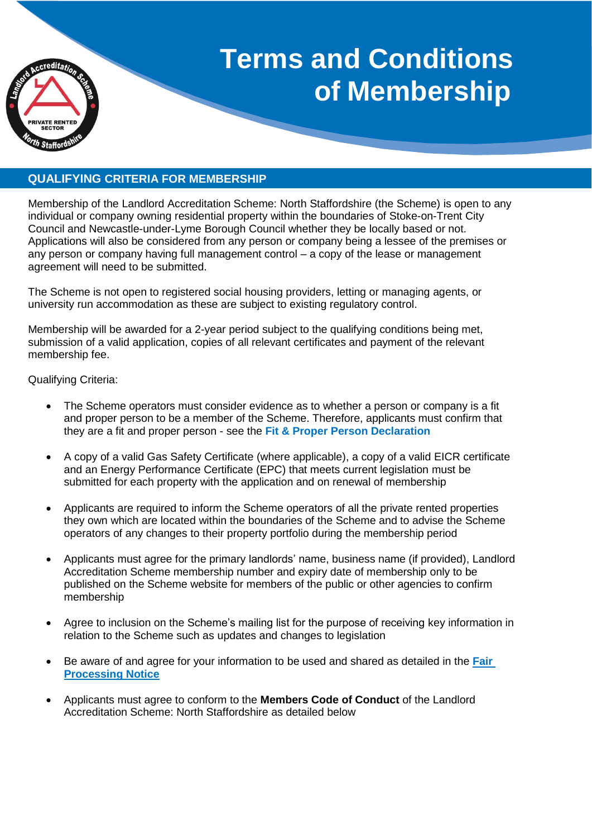

# **Terms and Conditions of Membership**

# **QUALIFYING CRITERIA FOR MEMBERSHIP**

Membership of the Landlord Accreditation Scheme: North Staffordshire (the Scheme) is open to any individual or company owning residential property within the boundaries of Stoke-on-Trent City Council and Newcastle-under-Lyme Borough Council whether they be locally based or not. Applications will also be considered from any person or company being a lessee of the premises or any person or company having full management control – a copy of the lease or management agreement will need to be submitted.

The Scheme is not open to registered social housing providers, letting or managing agents, or university run accommodation as these are subject to existing regulatory control.

Membership will be awarded for a 2-year period subject to the qualifying conditions being met, submission of a valid application, copies of all relevant certificates and payment of the relevant membership fee.

Qualifying Criteria:

- The Scheme operators must consider evidence as to whether a person or company is a fit and proper person to be a member of the Scheme. Therefore, applicants must confirm that they are a fit and proper person - see the **Fit & Proper Person Declaration**
- A copy of a valid Gas Safety Certificate (where applicable), a copy of a valid EICR certificate and an Energy Performance Certificate (EPC) that meets current legislation must be submitted for each property with the application and on renewal of membership
- Applicants are required to inform the Scheme operators of all the private rented properties they own which are located within the boundaries of the Scheme and to advise the Scheme operators of any changes to their property portfolio during the membership period
- Applicants must agree for the primary landlords' name, business name (if provided), Landlord Accreditation Scheme membership number and expiry date of membership only to be published on the Scheme website for members of the public or other agencies to confirm membership
- Agree to inclusion on the Scheme's mailing list for the purpose of receiving key information in relation to the Scheme such as updates and changes to legislation
- Be aware of and agree for your information to be used and shared as detailed in the **[Fair](https://www.stoke.gov.uk/directory_record/333586/landlord_accreditation_scheme_north_staffordshire/category/389/housing_and_neighbourhoods)  [Processing Notice](https://www.stoke.gov.uk/directory_record/333586/landlord_accreditation_scheme_north_staffordshire/category/389/housing_and_neighbourhoods)**
- Applicants must agree to conform to the **Members Code of Conduct** of the Landlord Accreditation Scheme: North Staffordshire as detailed below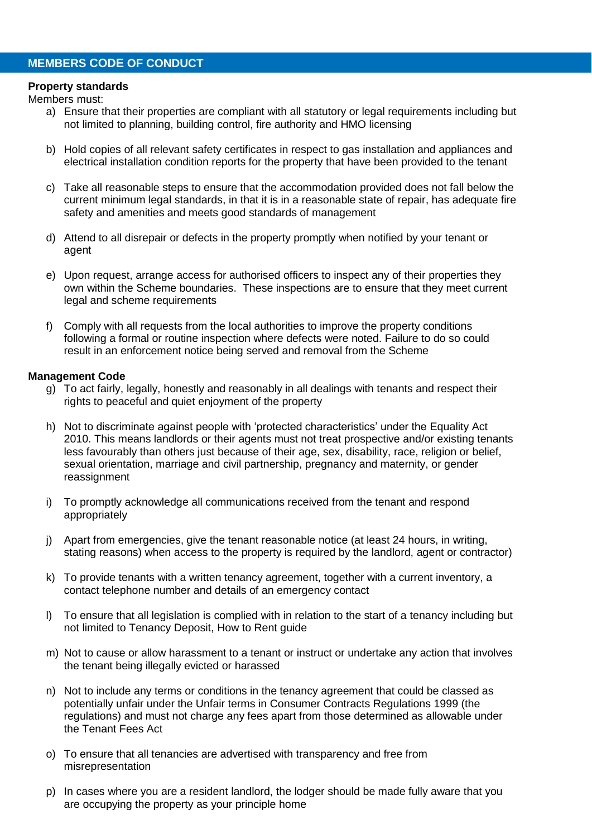## **MEMBERS CODE OF CONDUCT**

#### **Property standards**

Members must:

- a) Ensure that their properties are compliant with all statutory or legal requirements including but not limited to planning, building control, fire authority and HMO licensing
- b) Hold copies of all relevant safety certificates in respect to gas installation and appliances and electrical installation condition reports for the property that have been provided to the tenant
- c) Take all reasonable steps to ensure that the accommodation provided does not fall below the current minimum legal standards, in that it is in a reasonable state of repair, has adequate fire safety and amenities and meets good standards of management
- d) Attend to all disrepair or defects in the property promptly when notified by your tenant or agent
- e) Upon request, arrange access for authorised officers to inspect any of their properties they own within the Scheme boundaries. These inspections are to ensure that they meet current legal and scheme requirements
- f) Comply with all requests from the local authorities to improve the property conditions following a formal or routine inspection where defects were noted. Failure to do so could result in an enforcement notice being served and removal from the Scheme

#### **Management Code**

- g) To act fairly, legally, honestly and reasonably in all dealings with tenants and respect their rights to peaceful and quiet enjoyment of the property
- h) Not to discriminate against people with 'protected characteristics' under the [Equality Act](https://www.equalityhumanrights.com/en/equality-act-2010/what-equality-act)  [2010.](https://www.equalityhumanrights.com/en/equality-act-2010/what-equality-act) This means landlords or their agents must not treat prospective and/or existing tenants less favourably than others just because of their age, sex, disability, race, religion or belief, sexual orientation, marriage and civil partnership, pregnancy and maternity, or gender reassignment
- i) To promptly acknowledge all communications received from the tenant and respond appropriately
- j) Apart from emergencies, give the tenant reasonable notice (at least 24 hours, in writing, stating reasons) when access to the property is required by the landlord, agent or contractor)
- k) To provide tenants with a written tenancy agreement, together with a current inventory, a contact telephone number and details of an emergency contact
- l) To ensure that all legislation is complied with in relation to the start of a tenancy including but not limited to Tenancy Deposit, How to Rent guide
- m) Not to cause or allow harassment to a tenant or instruct or undertake any action that involves the tenant being illegally evicted or harassed
- n) Not to include any terms or conditions in the tenancy agreement that could be classed as potentially unfair under the Unfair terms in Consumer Contracts Regulations 1999 (the regulations) and must not charge any fees apart from those determined as allowable under the Tenant Fees Act
- o) To ensure that all tenancies are advertised with transparency and free from misrepresentation
- p) In cases where you are a resident landlord, the lodger should be made fully aware that you are occupying the property as your principle home